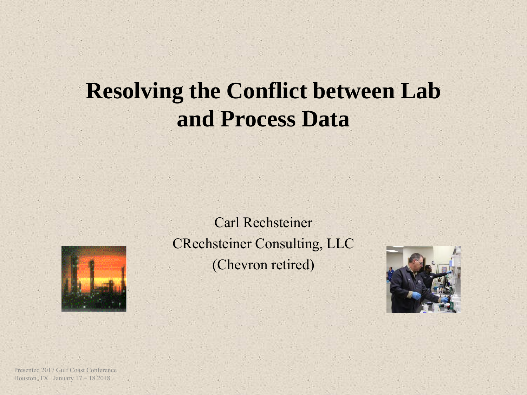## **Resolving the Conflict between Lab and Process Data**



Carl Rechsteiner CRechsteiner Consulting, LLC (Chevron retired)

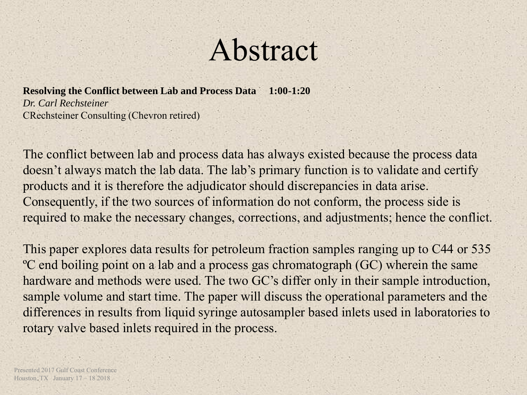# Abstract

**Resolving the Conflict between Lab and Process Data 1:00-1:20** *Dr. Carl Rechsteiner* CRechsteiner Consulting (Chevron retired)

The conflict between lab and process data has always existed because the process data doesn't always match the lab data. The lab's primary function is to validate and certify products and it is therefore the adjudicator should discrepancies in data arise. Consequently, if the two sources of information do not conform, the process side is required to make the necessary changes, corrections, and adjustments; hence the conflict.

This paper explores data results for petroleum fraction samples ranging up to C44 or 535 ºC end boiling point on a lab and a process gas chromatograph (GC) wherein the same hardware and methods were used. The two GC's differ only in their sample introduction, sample volume and start time. The paper will discuss the operational parameters and the differences in results from liquid syringe autosampler based inlets used in laboratories to rotary valve based inlets required in the process.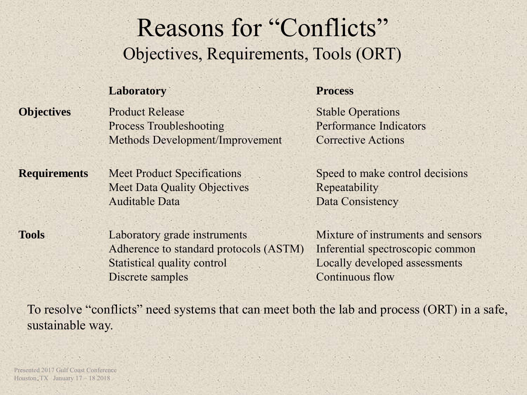## Reasons for "Conflicts" Objectives, Requirements, Tools (ORT)

#### **Laboratory Process**

**Objectives** Product Release Process Troubleshooting Methods Development/Improvement

Stable Operations Performance Indicators Corrective Actions

**Requirements** Meet Product Specifications Meet Data Quality Objectives Auditable Data

Speed to make control decisions Repeatability Data Consistency

**Tools** Laboratory grade instruments Adherence to standard protocols (ASTM) Statistical quality control Discrete samples

Mixture of instruments and sensors Inferential spectroscopic common Locally developed assessments Continuous flow

To resolve "conflicts" need systems that can meet both the lab and process (ORT) in a safe, sustainable way.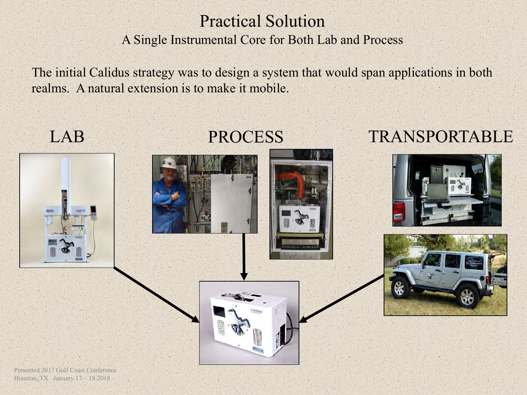#### Practical Solution A Single Instrumental Core for Both Lab and Process

The initial Calidus strategy was to design a system that would span applications in both realms. A natural extension is to make it mobile.







### LAB PROCESS TRANSPORTABLE



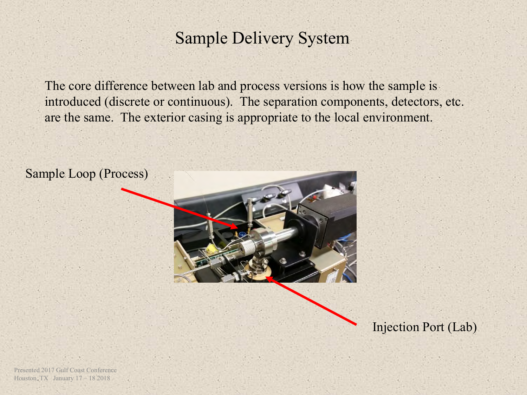#### Sample Delivery System

The core difference between lab and process versions is how the sample is introduced (discrete or continuous). The separation components, detectors, etc. are the same. The exterior casing is appropriate to the local environment.





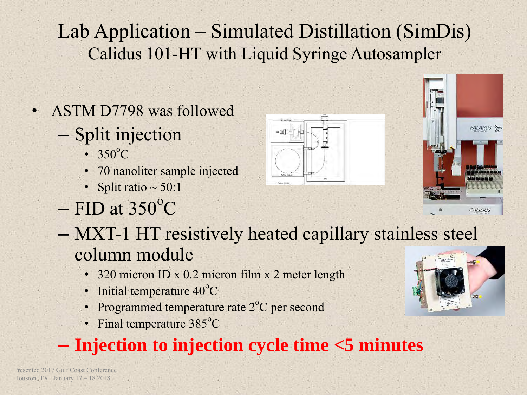## Lab Application – Simulated Distillation (SimDis) Calidus 101-HT with Liquid Syringe Autosampler

- ASTM D7798 was followed
	- Split injection
		- $350^{\circ}$ C
		- 70 nanoliter sample injected
		- Split ratio  $\sim$  50:1
	- $-$  FID at 350 $^{\circ}$ C
	- MXT-1 HT resistively heated capillary stainless steel column module
		- 320 micron ID x 0.2 micron film x 2 meter length
		- Initial temperature  $40^{\circ}$ C
		- Programmed temperature rate  $2^{\circ}C$  per second
		- Final temperature  $385^{\circ}$ C

## – **Injection to injection cycle time <5 minutes**





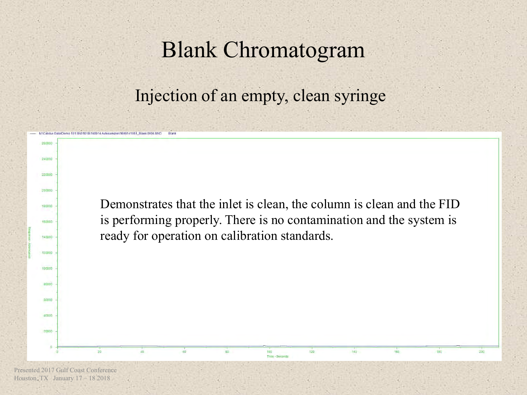## Blank Chromatogram

Injection of an empty, clean syringe

Demonstrates that the inlet is clean, the column is clean and the FID is performing properly. There is no contamination and the system is ready for operation on calibration standards.

100

Time - Seconds

 $120$ 

140

 $200$ 

Calidus Data/Demo 101 SN0101B\160914 Autosampler\1609141051 Blank 0004 BND

**260000** 

240000

220000

200000

180000

160000

140000

120000

 $100000$ 

 $80000$ 

60000

 $A0000$ 

20000

Blank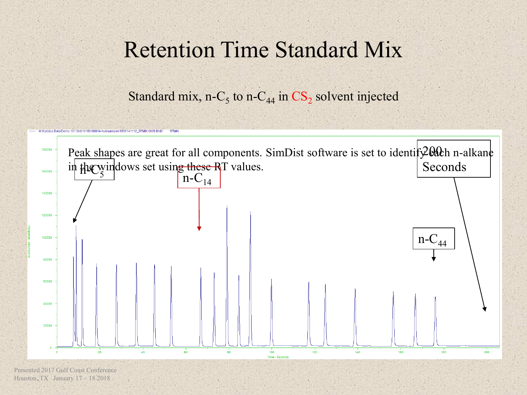## Retention Time Standard Mix

Standard mix, n-C<sub>5</sub> to n-C<sub>44</sub> in  $CS_2$  solvent injected

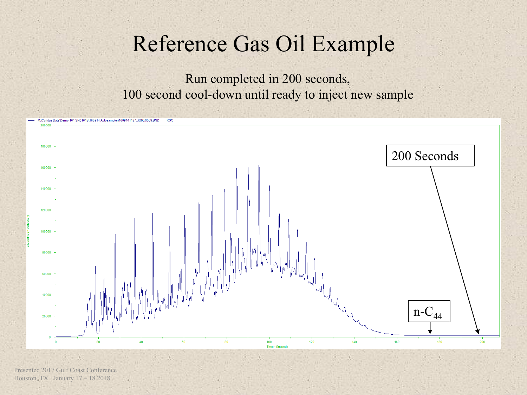## Reference Gas Oil Example

Run completed in 200 seconds, 100 second cool-down until ready to inject new sample

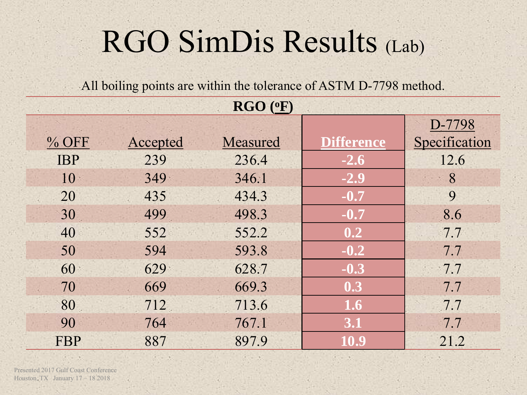# RGO SimDis Results (Lab)

All boiling points are within the tolerance of ASTM D-7798 method.

| $RGO$ ( $oF$ ) |          |          |                   |               |  |  |  |  |
|----------------|----------|----------|-------------------|---------------|--|--|--|--|
|                |          | D-7798   |                   |               |  |  |  |  |
| $%$ OFF        | Accepted | Measured | <b>Difference</b> | Specification |  |  |  |  |
| <b>IBP</b>     | 239      | 236.4    | $-2.6$            | 12.6          |  |  |  |  |
| 10             | 349      | 346.1    | $-2.9$            | 8             |  |  |  |  |
| 20             | 435      | 434.3    | $-0.7$            | 9             |  |  |  |  |
| 30             | 499      | 498.3    | $-0.7$            | 8.6           |  |  |  |  |
| 40             | 552      | 552.2    | 0.2               | 7.7           |  |  |  |  |
| 50             | 594      | 593.8    | $-0.2$            | 7.7           |  |  |  |  |
| 60             | 629      | 628.7    | $-0.3$            | 7.7           |  |  |  |  |
| 70             | 669      | 669.3    | 0.3               | 7.7           |  |  |  |  |
| 80             | 712      | 713.6    | 1.6               | 7.7           |  |  |  |  |
| 90             | 764      | 767.1    | 3.1               | 7.7           |  |  |  |  |
| <b>FBP</b>     | 887      | 897.9    | 10.9              | 21.2          |  |  |  |  |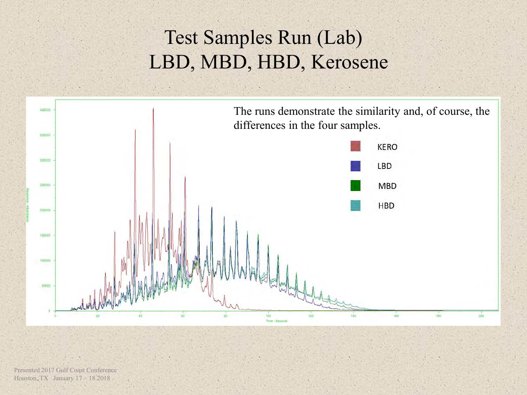## Test Samples Run (Lab) LBD, MBD, HBD, Kerosene

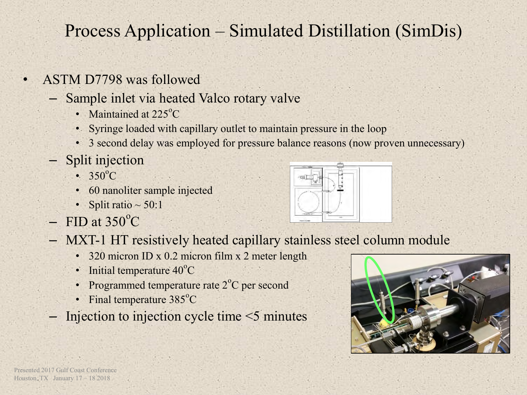#### Process Application – Simulated Distillation (SimDis)

- ASTM D7798 was followed
	- Sample inlet via heated Valco rotary valve
		- Maintained at  $225^{\circ}$ C
		- Syringe loaded with capillary outlet to maintain pressure in the loop
		- 3 second delay was employed for pressure balance reasons (now proven unnecessary)
	- Split injection
		- $350^{\circ}$ C
		- 60 nanoliter sample injected
		- Split ratio  $\sim$  50:1
	- $-$  FID at 350 $^{\circ}$ C
	- MXT-1 HT resistively heated capillary stainless steel column module
		- 320 micron ID x 0.2 micron film x 2 meter length
		- Initial temperature  $40^{\circ}$ C
		- Programmed temperature rate 2°C per second
		- Final temperature  $385^{\circ}$ C
	- Injection to injection cycle time <5 minutes



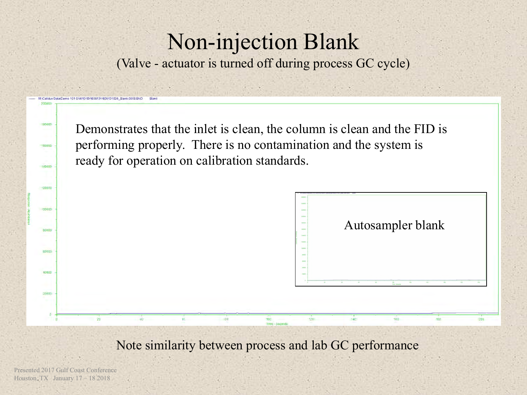## Non-injection Blank

(Valve - actuator is turned off during process GC cycle)

Demonstrates that the inlet is clean, the column is clean and the FID is performing properly. There is no contamination and the system is ready for operation on calibration standards.



Note similarity between process and lab GC performance

Presented 2017 Gulf Coast Conference Houston, TX January 17 – 18 2018

180000

60000

140000

 $120000$ 

100000

60000

60000

40000

20000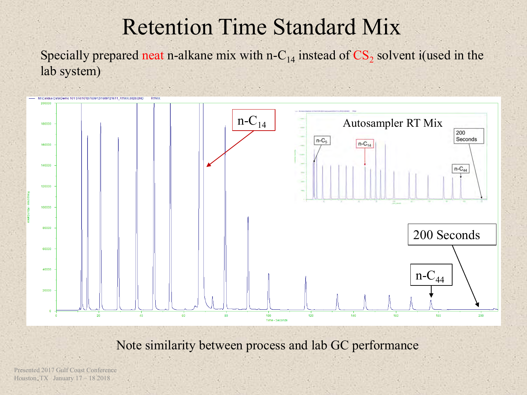## Retention Time Standard Mix

Specially prepared neat n-alkane mix with n-C<sub>14</sub> instead of  $CS_2$  solvent i(used in the lab system)



Note similarity between process and lab GC performance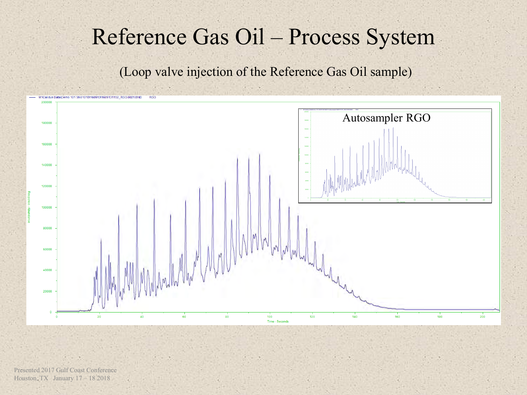## Reference Gas Oil – Process System

(Loop valve injection of the Reference Gas Oil sample)

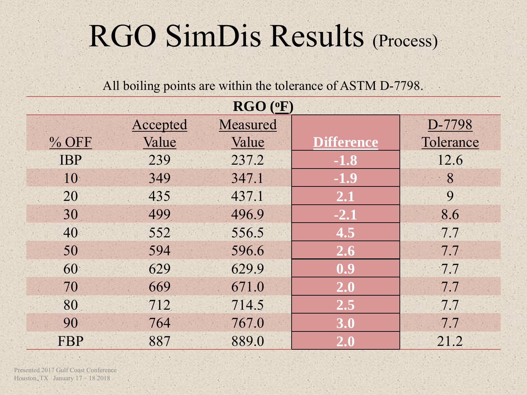# RGO SimDis Results (Process)

#### All boiling points are within the tolerance of ASTM D-7798.

|            |          | $RGO$ ( $\circ$ F) |                   |           |
|------------|----------|--------------------|-------------------|-----------|
|            | Accepted | Measured           |                   | D-7798    |
| $%$ OFF    | Value    | Value              | <b>Difference</b> | Tolerance |
| <b>IBP</b> | 239      | 237.2              | $-1.8$            | 12.6      |
| 10         | 349      | 347.1              | $-1.9$            | 8         |
| 20         | 435      | 437.1              | 2.1               | 9         |
| 30         | 499      | 496.9              | $-2.1$            | 8.6       |
| 40         | 552      | 556.5              | 4.5               | 7.7       |
| 50         | 594      | 596.6              | 2.6               | 7.7       |
| 60         | 629      | 629.9              | 0.9               | 7.7       |
| 70         | 669      | 671.0              | 2.0               | 7.7       |
| 80         | 712      | 714.5              | 2.5               | 7.7       |
| 90         | 764      | 767.0              | 3.0               | 7.7       |
| <b>FBP</b> | 887      | 889.0              | 2.0               | 21.2      |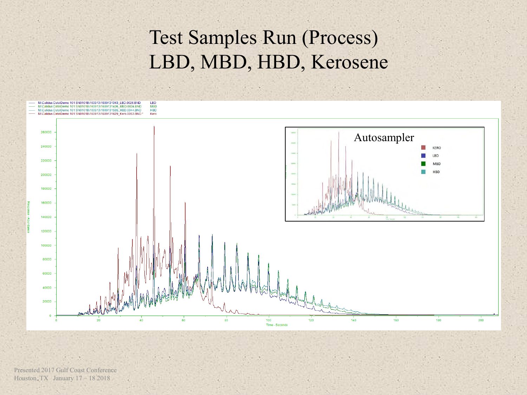## Test Samples Run (Process) LBD, MBD, HBD, Kerosene

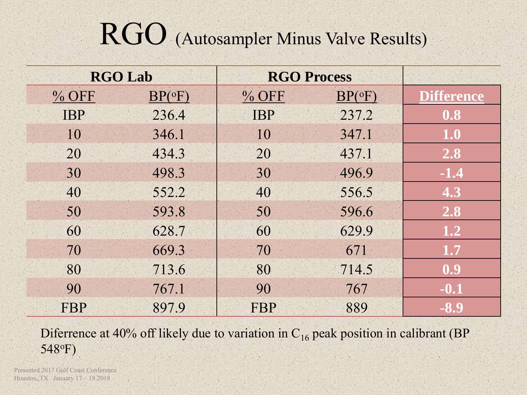# RGO (Autosampler Minus Valve Results)

|            | <b>RGO Lab</b>    | <b>RGO Process</b> |                   |                   |
|------------|-------------------|--------------------|-------------------|-------------------|
| $%$ OFF    | $BP({}^{\circ}F)$ | $%$ OFF            | $BP({}^{\circ}F)$ | <b>Difference</b> |
| <b>IBP</b> | 236.4             | <b>IBP</b>         | 237.2             | 0.8               |
| 10         | 346.1             | 10                 | 347.1             | 1.0               |
| 20         | 434.3             | 20                 | 437.1             | 2.8               |
| 30         | 498.3             | 30                 | 496.9             | $-1.4$            |
| 40         | 552.2             | 40                 | 556.5             | 4.3               |
| 50         | 593.8             | 50                 | 596.6             | 2.8               |
| 60         | 628.7             | 60                 | 629.9             | 1.2               |
| 70         | 669.3             | 70                 | 671               | 1.7               |
| 80         | 713.6             | 80                 | 714.5             | 0.9               |
| 90         | 767.1             | 90                 | 767               | $-0.1$            |
| FBP        | 897.9             | <b>FBP</b>         | 889               | $-8.9$            |

Diferrence at 40% off likely due to variation in  $C_{16}$  peak position in calibrant (BP) 548oF)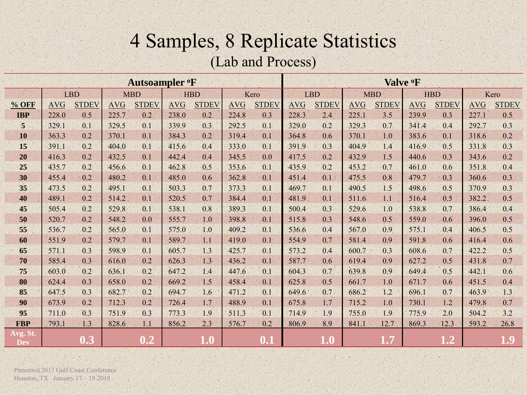#### 4 Samples, 8 Replicate Statistics (Lab and Process)

| Autsoampler <sup>o</sup> F |            |              |            |              |            | Valve <sup>o</sup> F |            |                    |            |              |            |              |            |              |            |              |
|----------------------------|------------|--------------|------------|--------------|------------|----------------------|------------|--------------------|------------|--------------|------------|--------------|------------|--------------|------------|--------------|
|                            |            | <b>LBD</b>   |            | <b>MBD</b>   |            | <b>HBD</b>           |            | Kero               | <b>LBD</b> |              | <b>MBD</b> |              | <b>HBD</b> |              | Kero       |              |
| $%$ OFF                    | <b>AVG</b> | <b>STDEV</b> | <b>AVG</b> | <b>STDEV</b> | <b>AVG</b> | <b>STDEV</b>         | <b>AVG</b> | <b>STDEV</b>       | <b>AVG</b> | <b>STDEV</b> | <b>AVG</b> | <b>STDEV</b> | <b>AVG</b> | <b>STDEV</b> | <b>AVG</b> | <b>STDEV</b> |
| <b>IBP</b>                 | 228.0      | 0.5          | 225.7      | 0.2          | 238.0      | 0.2                  | 224.8      | 0.3                | 228.3      | 2.4          | 225.1      | 3.5          | 239.9      | 0.3          | 227.1      | 0.5          |
| 5                          | 329.1      | 0.1          | 329.5      | 0.1          | 339.9      | 0.3                  | 292.5      | 0.1                | 329.0      | 0.2          | 329.3      | 0.7          | 341.4      | 0.4          | 292.7      | 0.3          |
| 10                         | 363.3      | 0.2          | 370.1      | 0.1          | 384.3      | 0.2                  | 319.4      | 0.1                | 364.8      | 0.6          | 370.1      | 1.0          | 383.6      | 0.1          | 318.6      | 0.2          |
| 15                         | 391.1      | 0.2          | 404.0      | 0.1          | 415.6      | 0.4                  | 333.0      | 0.1                | 391.9      | 0.3          | 404.9      | 1.4          | 416.9      | 0.5          | 331.8      | 0.3          |
| 20                         | 416.3      | 0.2          | 432.5      | 0.1          | 442.4      | 0.4                  | 345.5      | 0.0                | 417.5      | 0.2          | 432.9      | 1.5          | 440.6      | 0.3          | 343.6      | 0.2          |
| 25                         | 435.7      | 0.2          | 456.6      | 0.1          | 462.8      | 0.5                  | 353.6      | 0.1                | 435.9      | 0.2          | 453.2      | 0.7          | 461.0      | 0.6          | 351.8      | 0.4          |
| 30                         | 455.4      | 0.2          | 480.2      | 0.1          | 485.0      | 0.6                  | 362.8      | 0.1                | 451.4      | 0.1          | 475.5      | 0.8          | 479.7      | 0.3          | 360.6      | 0.3          |
| 35                         | 473.5      | 0.2          | 495.1      | 0.1          | 503.3      | 0.7                  | 373.3      | 0.1                | 469.7      | 0.1          | 490.5      | 1.5          | 498.6      | 0.5          | 370.9      | 0.3          |
| 40                         | 489.1      | 0.2          | 514.2      | 0.1          | 520.5      | 0.7                  | 384.4      | 0.1                | 481.9      | 0.1          | 511.6      | 1.1          | 516.4      | 0.5          | 382.2      | 0.5          |
| 45                         | 505.4      | 0.2          | 529.8      | 0.1          | 538.1      | 0.8                  | 389.3      | 0.1                | 500.4      | 0.3          | 529.6      | 1.0          | 538.8      | 0.7          | 386.4      | 0.4          |
| 50                         | 520.7      | 0.2          | 548.2      | 0.0          | 555.7      | 1.0                  | 398.8      | 0.1                | 515.8      | 0.3          | 548.6      | 0.5          | 559.0      | 0.6          | 396.0      | 0.5          |
| 55                         | 536.7      | 0.2          | 565.0      | 0.1          | 575.0      | 1.0                  | 409.2      | 0.1                | 536.6      | 0.4          | 567.0      | 0.9          | 575.1      | 0.4          | 406.5      | 0.5          |
| 60                         | 551.9      | 0.2          | 579.7      | 0.1          | 589.7      | 1.1                  | 419.0      | 0.1                | 554.9      | 0.7          | 581.4      | 0.9          | 591.8      | 0.6          | 416.4      | 0.6          |
| 65                         | 571.1      | 0.3          | 598.9      | 0.1          | 605.7      | 1.3                  | 425.7      | 0.1                | 573.2      | 0.4          | 600.7      | 0.3          | 608.6      | 0.7          | 422.2      | 0.5          |
| 70                         | 585.4      | 0.3          | 616.0      | 0.2          | 626.3      | 1.3                  | 436.2      | 0.1                | 587.7      | 0.6          | 619.4      | 0.9          | 627.2      | 0.5          | 431.8      | 0.7          |
| 75                         | 603.0      | 0.2          | 636.1      | 0.2          | 647.2      | 1.4                  | 447.6      | 0.1                | 604.3      | 0.7          | 639.8      | 0.9          | 649.4      | 0.5          | 442.1      | 0.6          |
| 80                         | 624.4      | 0.3          | 658.0      | 0.2          | 669.2      | 1.5                  | 458.4      | 0.1                | 625.8      | 0.5          | 661.7      | 1.0          | 671.7      | 0.6          | 451.5      | 0.4          |
| 85                         | 647.5      | 0.3          | 682.7      | 0.2          | 694.7      | 1.6                  | 471.2      | 0.1                | 649.6      | 0.7          | 686.2      | 1.2          | 696.1      | 0.7          | 463.9      | 1.3          |
| 90                         | 673.9      | 0.2          | 712.3      | 0.2          | 726.4      | 1.7                  | 488.9      | 0.1                | 675.8      | 1.7          | 715.2      | 1.0          | 730.1      | 1.2          | 479.8      | 0.7          |
| 95                         | 711.0      | 0.3          | 751.9      | 0.3          | 773.3      | 1.9                  | 511.3      | 0.1                | 714.9      | 1.9          | 755.0      | 1.9          | 775.9      | 2.0          | 504.2      | 3.2          |
| <b>FBP</b>                 | 793.1      | 1.3          | 828.6      | 1.1          | 856.2      | 2.3                  | 576.7      | 0.2                | 806.9      | 8.9          | 841.1      | 12.7         | 869.3      | 12.3         | 593.2      | 26.8         |
| Avg. St.<br><b>Dev</b>     |            | 0.3          |            | 0.2          |            | 1.0                  |            | $\boldsymbol{0.1}$ |            | 1.0          |            | 1.7          |            | 1.2          |            | 1.9          |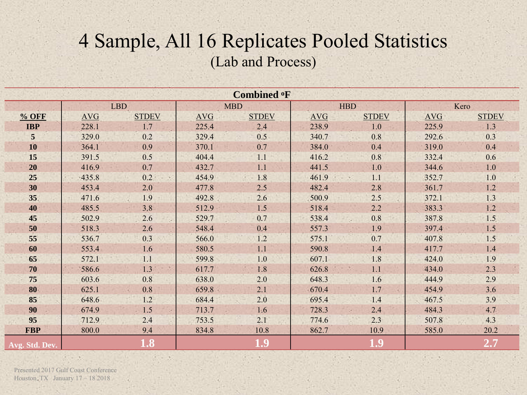#### 4 Sample, All 16 Replicates Pooled Statistics (Lab and Process)

| <b>Combined OF</b> |            |              |            |              |            |              |       |                  |  |  |
|--------------------|------------|--------------|------------|--------------|------------|--------------|-------|------------------|--|--|
|                    |            | <b>LBD</b>   |            | <b>MBD</b>   | <b>HBD</b> |              | Kero  |                  |  |  |
| $%$ OFF            | <b>AVG</b> | <b>STDEV</b> | <b>AVG</b> | <b>STDEV</b> | <b>AVG</b> | <b>STDEV</b> | AVG   | <b>STDEV</b>     |  |  |
| <b>IBP</b>         | 228.1      | 1.7          | 225.4      | 2.4          | 238.9      | 1.0          | 225.9 | 1.3              |  |  |
| $5\overline{)}$    | 329.0      | 0.2          | 329.4      | 0.5          | 340.7      | 0.8          | 292.6 | 0.3              |  |  |
| 10                 | 364.1      | 0.9          | 370.1      | 0.7          | 384.0      | 0.4          | 319.0 | 0.4              |  |  |
| 15                 | 391.5      | 0.5          | 404.4      | 1.1          | 416.2      | 0.8          | 332.4 | 0.6              |  |  |
| 20                 | 416.9      | 0.7          | 432.7      | 1.1          | 441.5      | 1.0          | 344.6 | 1.0              |  |  |
| 25                 | 435.8      | 0.2          | 454.9      | 1.8          | 461.9      | 1.1<br>×     | 352.7 | 1.0              |  |  |
| 30                 | 453.4      | 2.0          | 477.8      | 2.5          | 482.4      | 2.8          | 361.7 | 1.2              |  |  |
| 35 <sup>2</sup>    | 471.6      | 1.9          | 492.8      | 2.6          | 500.9      | 2.5          | 372.1 | 1.3              |  |  |
| 40                 | 485.5      | 3.8          | 512.9      | 1.5          | 518.4      | 2.2          | 383.3 | 1.2              |  |  |
| 45                 | 502.9      | 2.6          | 529.7      | 0.7          | 538.4      | 0.8          | 387.8 | 1.5              |  |  |
| 50                 | 518.3      | 2.6          | 548.4      | 0.4          | 557.3      | 1.9          | 397.4 | 1.5              |  |  |
| 55                 | 536.7      | 0.3          | 566.0      | 1.2          | 575.1      | 0.7          | 407.8 | 1.5              |  |  |
| 60                 | 553.4      | 1.6          | 580.5      | 1.1          | 590.8      | 1.4          | 417.7 | 1.4              |  |  |
| 65                 | 572.1      | 1.1          | 599.8      | 1.0          | 607.1      | 1.8          | 424.0 | 1.9              |  |  |
| 70                 | 586.6      | 1.3          | 617.7      | 1.8          | 626.8      | 1.1          | 434.0 | 2.3              |  |  |
| 75                 | 603.6      | 0.8          | 638.0      | 2.0          | 648.3      | 1.6          | 444.9 | 2.9              |  |  |
| 80                 | 625.1      | 0.8          | 659.8      | 2.1          | 670.4      | 1.7          | 454.9 | 3.6              |  |  |
| 85                 | 648.6      | 1.2          | 684.4      | 2.0          | 695.4      | 1.4          | 467.5 | 3.9              |  |  |
| 90                 | 674.9      | 1.5          | 713.7      | 1.6          | 728.3      | 2.4          | 484.3 | 4.7 <sup>°</sup> |  |  |
| 95                 | 712.9      | 2.4          | 753.5      | 2.1          | 774.6      | 2.3          | 507.8 | 4.3              |  |  |
| <b>FBP</b>         | 800.0      | 9.4          | 834.8      | 10.8         | 862.7      | 10.9         | 585.0 | 20.2             |  |  |
| Avg. Std. Dev.     |            | 1.8          |            | 1.9          |            | 1.9          |       | 2.7              |  |  |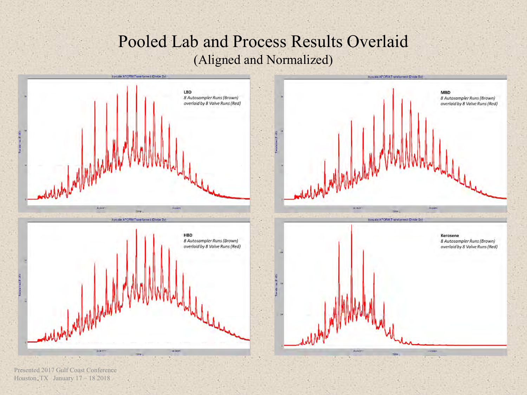#### Pooled Lab and Process Results Overlaid (Aligned and Normalized)

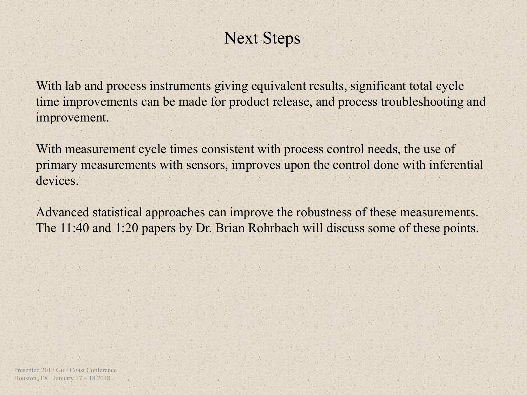#### Next Steps

With lab and process instruments giving equivalent results, significant total cycle time improvements can be made for product release, and process troubleshooting and improvement.

With measurement cycle times consistent with process control needs, the use of primary measurements with sensors, improves upon the control done with inferential devices.

Advanced statistical approaches can improve the robustness of these measurements. The 11:40 and 1:20 papers by Dr. Brian Rohrbach will discuss some of these points.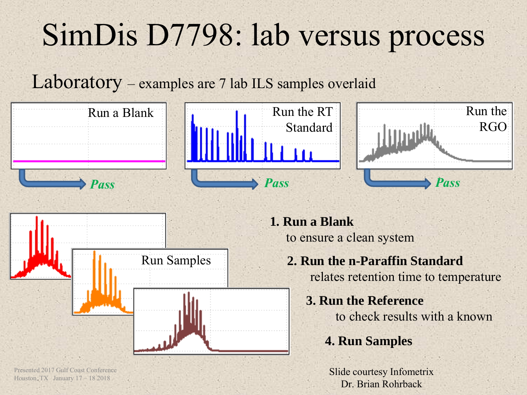# SimDis D7798: lab versus process

Laboratory – examples are 7 lab ILS samples overlaid



Presented 2017 Gulf Coast Conference Houston, TX January 17 – 18 2018

Slide courtesy Infometrix Dr. Brian Rohrback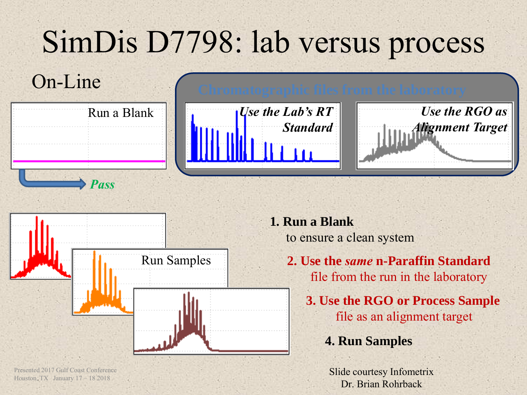# SimDis D7798: lab versus process

## On-Line **Chromatographic files from the laboratory**



*Pass*

*Use the Lab's RT Standard*



Presented 2017 Gulf Coast Conference Houston, TX January 17 – 18 2018

**1. Run a Blank** to ensure a clean system

> **2. Use the** *same* **n-Paraffin Standard** file from the run in the laboratory **3. Use the RGO or Process Sample** file as an alignment target

*Use the RGO as* 

*Alignment Target*

#### **4. Run Samples**

Slide courtesy Infometrix Dr. Brian Rohrback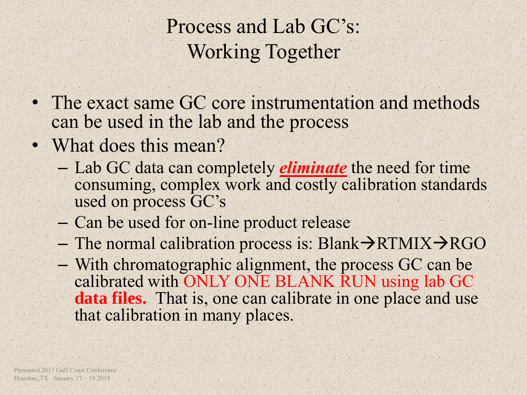Process and Lab GC's: Working Together

- The exact same GC core instrumentation and methods can be used in the lab and the process
- What does this mean?
	- Lab GC data can completely *eliminate* the need for time consuming, complex work and costly calibration standards used on process GC's
	- Can be used for on-line product release
	- The normal calibration process is: Blank $\rightarrow$ RTMIX $\rightarrow$ RGO
	- With chromatographic alignment, the process GC can be calibrated with ONLY ONE BLANK RUN using lab GC **data files.** That is, one can calibrate in one place and use that calibration in many places.